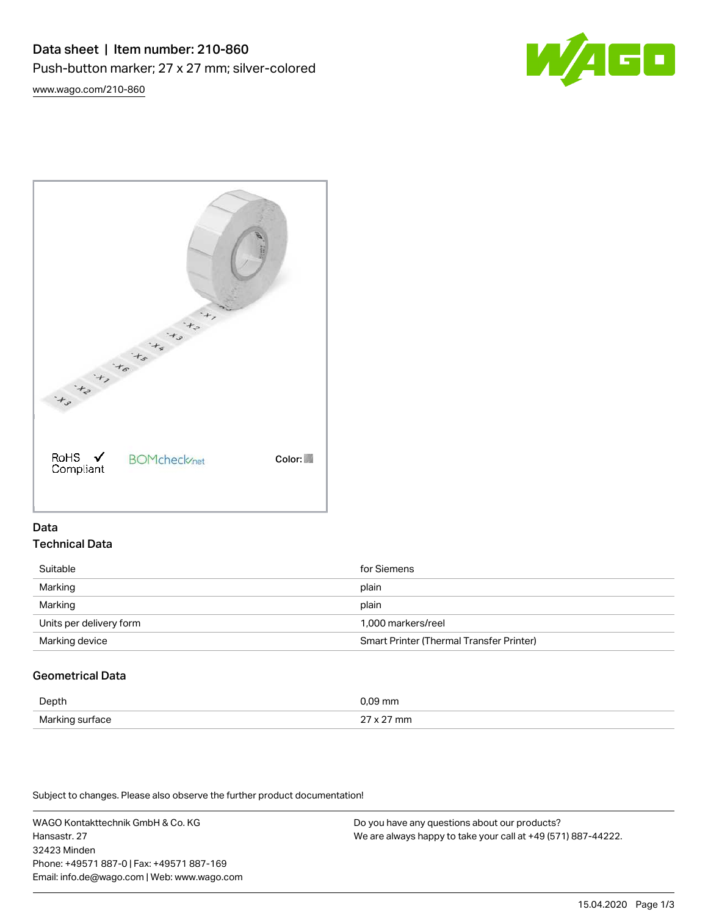



# Data Technical Data

| Suitable                | for Siemens                                     |
|-------------------------|-------------------------------------------------|
| Marking                 | plain                                           |
| Marking                 | plain                                           |
| Units per delivery form | 1.000 markers/reel                              |
| Marking device          | <b>Smart Printer (Thermal Transfer Printer)</b> |

# Geometrical Data

| Depth                             |  |
|-----------------------------------|--|
| Markir.<br>a∩A<br><b>IVIGHTML</b> |  |

Subject to changes. Please also observe the further product documentation!

WAGO Kontakttechnik GmbH & Co. KG Hansastr. 27 32423 Minden Phone: +49571 887-0 | Fax: +49571 887-169 Email: info.de@wago.com | Web: www.wago.com

Do you have any questions about our products? We are always happy to take your call at +49 (571) 887-44222.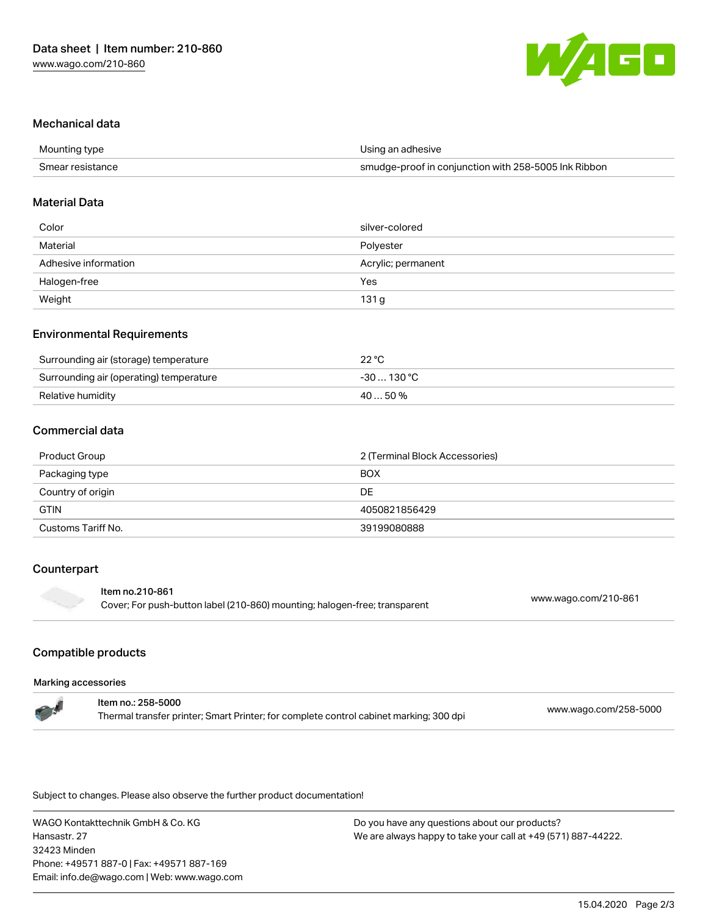

# Mechanical data

| Mounting type    | Using an adhesive                                    |
|------------------|------------------------------------------------------|
| Smear resistance | smudge-proof in conjunction with 258-5005 Ink Ribbon |

### Material Data

| Color                | silver-colored     |
|----------------------|--------------------|
| Material             | Polyester          |
| Adhesive information | Acrylic; permanent |
| Halogen-free         | Yes                |
| Weight               | 131 g              |

#### Environmental Requirements

| Surrounding air (storage) temperature   | $22^{\circ}$ C |
|-----------------------------------------|----------------|
| Surrounding air (operating) temperature | -30  130 °C    |
| Relative humidity                       | $4050\%$       |

## Commercial data

| Product Group      | 2 (Terminal Block Accessories) |  |
|--------------------|--------------------------------|--|
| Packaging type     | <b>BOX</b>                     |  |
| Country of origin  | DE                             |  |
| <b>GTIN</b>        | 4050821856429                  |  |
| Customs Tariff No. | 39199080888                    |  |

# Counterpart

#### Item no.210-861

Cover; For push-button label (210-860) mounting; halogen-free; transparent [www.wago.com/210-861](http://www.wago.com/210-861)

# Compatible products

#### Marking accessories

| <b>The State</b> | ltem no.: 258-5000                                                                     | www.wago.com/258-5000 |
|------------------|----------------------------------------------------------------------------------------|-----------------------|
|                  | Thermal transfer printer; Smart Printer; for complete control cabinet marking; 300 dpi |                       |

Subject to changes. Please also observe the further product documentation!

WAGO Kontakttechnik GmbH & Co. KG Hansastr. 27 32423 Minden Phone: +49571 887-0 | Fax: +49571 887-169 Email: info.de@wago.com | Web: www.wago.com

Do you have any questions about our products? We are always happy to take your call at +49 (571) 887-44222.